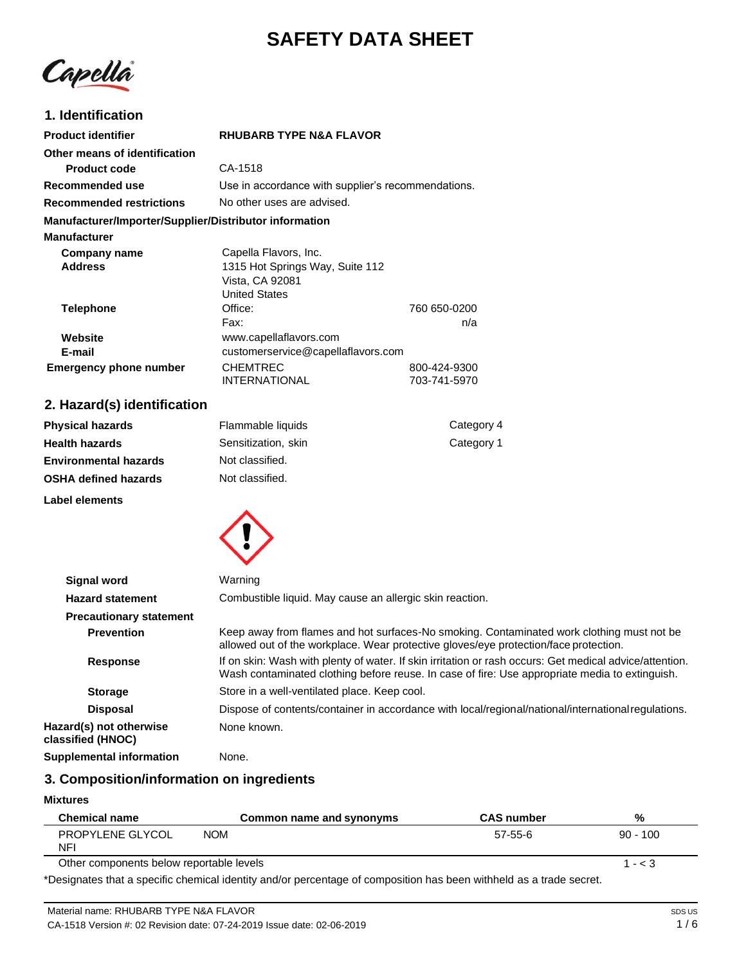# **SAFETY DATA SHEET**

Capella

# **1. Identification**

| <b>Product identifier</b>                              | <b>RHUBARB TYPE N&amp;A FLAVOR</b>                 |              |
|--------------------------------------------------------|----------------------------------------------------|--------------|
| Other means of identification                          |                                                    |              |
| <b>Product code</b>                                    | CA-1518                                            |              |
| Recommended use                                        | Use in accordance with supplier's recommendations. |              |
| <b>Recommended restrictions</b>                        | No other uses are advised.                         |              |
| Manufacturer/Importer/Supplier/Distributor information |                                                    |              |
| <b>Manufacturer</b>                                    |                                                    |              |
| Company name                                           | Capella Flavors, Inc.                              |              |
| <b>Address</b>                                         | 1315 Hot Springs Way, Suite 112                    |              |
|                                                        | Vista, CA 92081                                    |              |
|                                                        | <b>United States</b>                               |              |
| <b>Telephone</b>                                       | Office:                                            | 760 650-0200 |
|                                                        | Fax:                                               | n/a          |
| Website                                                | www.capellaflavors.com                             |              |
| E-mail                                                 | customerservice@capellaflavors.com                 |              |
| <b>Emergency phone number</b>                          | <b>CHEMTREC</b>                                    | 800-424-9300 |
|                                                        | INTERNATIONAL                                      | 703-741-5970 |

# **2. Hazard(s) identification**

**Label elements**

| <b>Physical hazards</b>      | Flammable liquids   | Category 4 |
|------------------------------|---------------------|------------|
| <b>Health hazards</b>        | Sensitization, skin | Category 1 |
| <b>Environmental hazards</b> | Not classified.     |            |
| <b>OSHA defined hazards</b>  | Not classified.     |            |
|                              |                     |            |



| <b>Signal word</b>                           | Warning                                                                                                                                                                                                   |
|----------------------------------------------|-----------------------------------------------------------------------------------------------------------------------------------------------------------------------------------------------------------|
| <b>Hazard statement</b>                      | Combustible liquid. May cause an allergic skin reaction.                                                                                                                                                  |
| <b>Precautionary statement</b>               |                                                                                                                                                                                                           |
| <b>Prevention</b>                            | Keep away from flames and hot surfaces-No smoking. Contaminated work clothing must not be<br>allowed out of the workplace. Wear protective gloves/eye protection/face protection.                         |
| <b>Response</b>                              | If on skin: Wash with plenty of water. If skin irritation or rash occurs: Get medical advice/attention.<br>Wash contaminated clothing before reuse. In case of fire: Use appropriate media to extinguish. |
| <b>Storage</b>                               | Store in a well-ventilated place. Keep cool.                                                                                                                                                              |
| <b>Disposal</b>                              | Dispose of contents/container in accordance with local/regional/national/internationalregulations.                                                                                                        |
| Hazard(s) not otherwise<br>classified (HNOC) | None known.                                                                                                                                                                                               |
| <b>Supplemental information</b>              | None.                                                                                                                                                                                                     |

# **3. Composition/information on ingredients**

#### **Mixtures**

| <b>Chemical name</b>                     | Common name and synonyms | <b>CAS number</b> | %          |
|------------------------------------------|--------------------------|-------------------|------------|
| PROPYLENE GLYCOL<br><b>NFI</b>           | <b>NOM</b>               | 57-55-6           | $90 - 100$ |
| Other components below reportable levels |                          |                   | $1 - 3$    |

\*Designates that a specific chemical identity and/or percentage of composition has been withheld as a trade secret.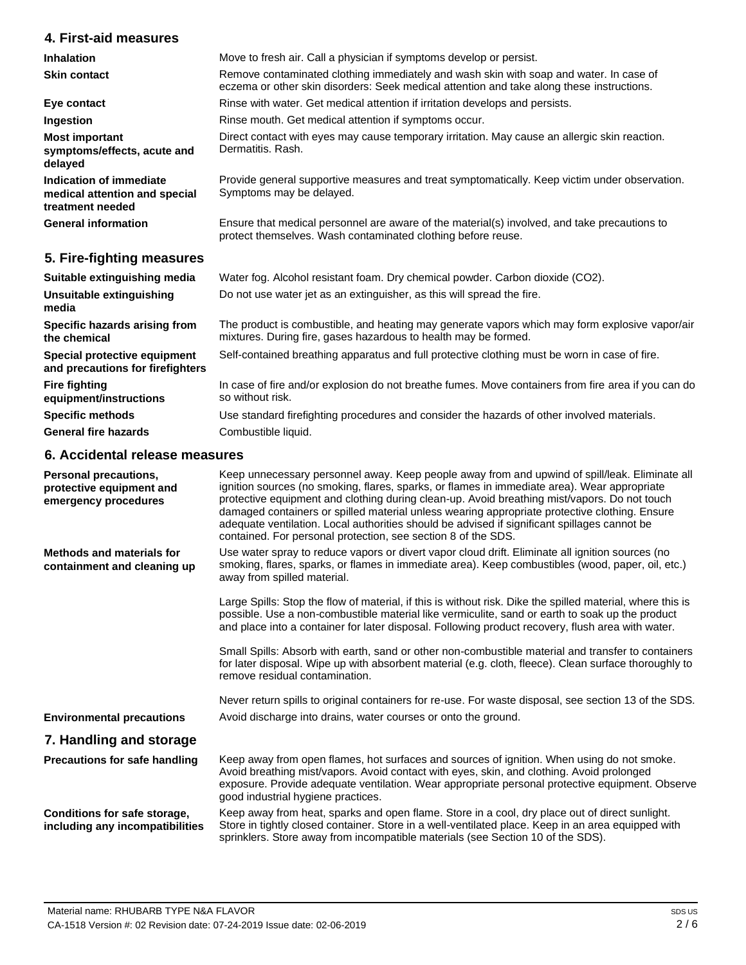# **4. First-aid measures**

| 4. FII SUAIU TIIUASUI US                                                     |                                                                                                                                                                                     |
|------------------------------------------------------------------------------|-------------------------------------------------------------------------------------------------------------------------------------------------------------------------------------|
| <b>Inhalation</b>                                                            | Move to fresh air. Call a physician if symptoms develop or persist.                                                                                                                 |
| <b>Skin contact</b>                                                          | Remove contaminated clothing immediately and wash skin with soap and water. In case of<br>eczema or other skin disorders: Seek medical attention and take along these instructions. |
| Eye contact                                                                  | Rinse with water. Get medical attention if irritation develops and persists.                                                                                                        |
| Ingestion                                                                    | Rinse mouth. Get medical attention if symptoms occur.                                                                                                                               |
| <b>Most important</b><br>symptoms/effects, acute and<br>delayed              | Direct contact with eyes may cause temporary irritation. May cause an allergic skin reaction.<br>Dermatitis, Rash.                                                                  |
| Indication of immediate<br>medical attention and special<br>treatment needed | Provide general supportive measures and treat symptomatically. Keep victim under observation.<br>Symptoms may be delayed.                                                           |
| <b>General information</b>                                                   | Ensure that medical personnel are aware of the material(s) involved, and take precautions to<br>protect themselves. Wash contaminated clothing before reuse.                        |
| 5. Fire-fighting measures                                                    |                                                                                                                                                                                     |
| Suitable extinguishing media                                                 | Water fog. Alcohol resistant foam. Dry chemical powder. Carbon dioxide (CO2).                                                                                                       |
| Unsuitable extinguishing<br>media                                            | Do not use water jet as an extinguisher, as this will spread the fire.                                                                                                              |
| Specific hazards arising from<br>the chemical                                | The product is combustible, and heating may generate vapors which may form explosive vapor/air<br>mixtures. During fire, gases hazardous to health may be formed.                   |
| Special protective equipment<br>and precautions for firefighters             | Self-contained breathing apparatus and full protective clothing must be worn in case of fire.                                                                                       |
| <b>Fire fighting</b><br>equipment/instructions                               | In case of fire and/or explosion do not breathe fumes. Move containers from fire area if you can do<br>so without risk.                                                             |
| <b>Specific methods</b>                                                      | Use standard firefighting procedures and consider the hazards of other involved materials.                                                                                          |

**General fire hazards** Combustible liquid.

# **6. Accidental release measures**

| Personal precautions,<br>protective equipment and<br>emergency procedures | Keep unnecessary personnel away. Keep people away from and upwind of spill/leak. Eliminate all<br>ignition sources (no smoking, flares, sparks, or flames in immediate area). Wear appropriate<br>protective equipment and clothing during clean-up. Avoid breathing mist/vapors. Do not touch<br>damaged containers or spilled material unless wearing appropriate protective clothing. Ensure<br>adequate ventilation. Local authorities should be advised if significant spillages cannot be<br>contained. For personal protection, see section 8 of the SDS. |
|---------------------------------------------------------------------------|------------------------------------------------------------------------------------------------------------------------------------------------------------------------------------------------------------------------------------------------------------------------------------------------------------------------------------------------------------------------------------------------------------------------------------------------------------------------------------------------------------------------------------------------------------------|
| <b>Methods and materials for</b><br>containment and cleaning up           | Use water spray to reduce vapors or divert vapor cloud drift. Eliminate all ignition sources (no<br>smoking, flares, sparks, or flames in immediate area). Keep combustibles (wood, paper, oil, etc.)<br>away from spilled material.                                                                                                                                                                                                                                                                                                                             |
|                                                                           | Large Spills: Stop the flow of material, if this is without risk. Dike the spilled material, where this is<br>possible. Use a non-combustible material like vermiculite, sand or earth to soak up the product<br>and place into a container for later disposal. Following product recovery, flush area with water.                                                                                                                                                                                                                                               |
|                                                                           | Small Spills: Absorb with earth, sand or other non-combustible material and transfer to containers<br>for later disposal. Wipe up with absorbent material (e.g. cloth, fleece). Clean surface thoroughly to<br>remove residual contamination.                                                                                                                                                                                                                                                                                                                    |
|                                                                           | Never return spills to original containers for re-use. For waste disposal, see section 13 of the SDS.                                                                                                                                                                                                                                                                                                                                                                                                                                                            |
| <b>Environmental precautions</b>                                          | Avoid discharge into drains, water courses or onto the ground.                                                                                                                                                                                                                                                                                                                                                                                                                                                                                                   |
| 7. Handling and storage                                                   |                                                                                                                                                                                                                                                                                                                                                                                                                                                                                                                                                                  |
| Precautions for safe handling                                             | Keep away from open flames, hot surfaces and sources of ignition. When using do not smoke.<br>Avoid breathing mist/vapors. Avoid contact with eyes, skin, and clothing. Avoid prolonged<br>exposure. Provide adequate ventilation. Wear appropriate personal protective equipment. Observe<br>good industrial hygiene practices.                                                                                                                                                                                                                                 |
| Conditions for safe storage,<br>including any incompatibilities           | Keep away from heat, sparks and open flame. Store in a cool, dry place out of direct sunlight.<br>Store in tightly closed container. Store in a well-ventilated place. Keep in an area equipped with<br>sprinklers. Store away from incompatible materials (see Section 10 of the SDS).                                                                                                                                                                                                                                                                          |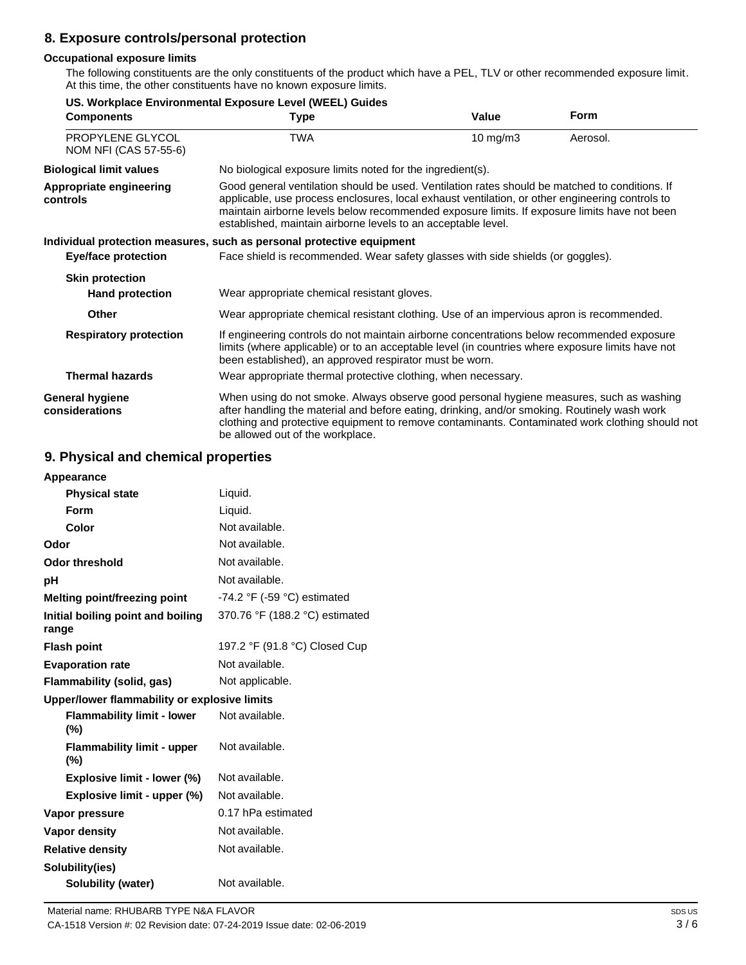# **8. Exposure controls/personal protection**

### **Occupational exposure limits**

The following constituents are the only constituents of the product which have a PEL, TLV or other recommended exposure limit. At this time, the other constituents have no known exposure limits.

| <b>Components</b>                         | US. Workplace Environmental Exposure Level (WEEL) Guides<br>Type                                                                                                                                                                                                                                                                                                   | Value    | <b>Form</b> |
|-------------------------------------------|--------------------------------------------------------------------------------------------------------------------------------------------------------------------------------------------------------------------------------------------------------------------------------------------------------------------------------------------------------------------|----------|-------------|
| PROPYLENE GLYCOL<br>NOM NFI (CAS 57-55-6) | TWA                                                                                                                                                                                                                                                                                                                                                                | 10 mg/m3 | Aerosol.    |
| <b>Biological limit values</b>            | No biological exposure limits noted for the ingredient(s).                                                                                                                                                                                                                                                                                                         |          |             |
| Appropriate engineering<br>controls       | Good general ventilation should be used. Ventilation rates should be matched to conditions. If<br>applicable, use process enclosures, local exhaust ventilation, or other engineering controls to<br>maintain airborne levels below recommended exposure limits. If exposure limits have not been<br>established, maintain airborne levels to an acceptable level. |          |             |
|                                           | Individual protection measures, such as personal protective equipment                                                                                                                                                                                                                                                                                              |          |             |
| <b>Eye/face protection</b>                | Face shield is recommended. Wear safety glasses with side shields (or goggles).                                                                                                                                                                                                                                                                                    |          |             |
| <b>Skin protection</b>                    |                                                                                                                                                                                                                                                                                                                                                                    |          |             |
| <b>Hand protection</b>                    | Wear appropriate chemical resistant gloves.                                                                                                                                                                                                                                                                                                                        |          |             |
| Other                                     | Wear appropriate chemical resistant clothing. Use of an impervious apron is recommended.                                                                                                                                                                                                                                                                           |          |             |
| <b>Respiratory protection</b>             | If engineering controls do not maintain airborne concentrations below recommended exposure<br>limits (where applicable) or to an acceptable level (in countries where exposure limits have not<br>been established), an approved respirator must be worn.                                                                                                          |          |             |
| <b>Thermal hazards</b>                    | Wear appropriate thermal protective clothing, when necessary.                                                                                                                                                                                                                                                                                                      |          |             |
| <b>General hygiene</b><br>considerations  | When using do not smoke. Always observe good personal hygiene measures, such as washing<br>after handling the material and before eating, drinking, and/or smoking. Routinely wash work<br>clothing and protective equipment to remove contaminants. Contaminated work clothing should not<br>be allowed out of the workplace.                                     |          |             |

# **9. Physical and chemical properties**

| Appearance                                   |                                               |
|----------------------------------------------|-----------------------------------------------|
| <b>Physical state</b>                        | Liquid.                                       |
| Form                                         | Liquid.                                       |
| Color                                        | Not available.                                |
| Odor                                         | Not available.                                |
| <b>Odor threshold</b>                        | Not available.                                |
| рH                                           | Not available.                                |
| Melting point/freezing point                 | -74.2 $\degree$ F (-59 $\degree$ C) estimated |
| Initial boiling point and boiling<br>range   | 370.76 °F (188.2 °C) estimated                |
| <b>Flash point</b>                           | 197.2 °F (91.8 °C) Closed Cup                 |
| <b>Evaporation rate</b>                      | Not available.                                |
| Flammability (solid, gas)                    | Not applicable.                               |
| Upper/lower flammability or explosive limits |                                               |
| <b>Flammability limit - lower</b><br>(%)     | Not available.                                |
| <b>Flammability limit - upper</b><br>$(\%)$  | Not available.                                |
| Explosive limit - lower (%)                  | Not available.                                |
| Explosive limit - upper (%)                  | Not available.                                |
| Vapor pressure                               | 0.17 hPa estimated                            |
| Vapor density                                | Not available.                                |
| <b>Relative density</b>                      | Not available.                                |
| Solubility(ies)                              |                                               |
| Solubility (water)                           | Not available.                                |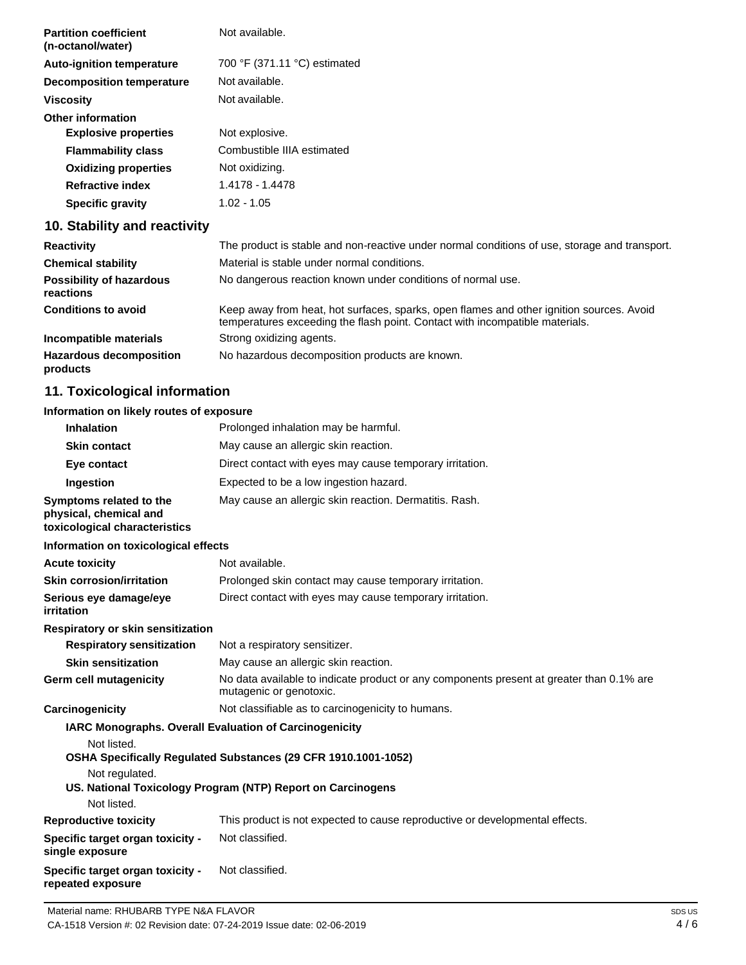| <b>Partition coefficient</b><br>(n-octanol/water) | Not available.               |
|---------------------------------------------------|------------------------------|
| <b>Auto-ignition temperature</b>                  | 700 °F (371.11 °C) estimated |
| <b>Decomposition temperature</b>                  | Not available.               |
| <b>Viscosity</b>                                  | Not available.               |
| <b>Other information</b>                          |                              |
| <b>Explosive properties</b>                       | Not explosive.               |
| <b>Flammability class</b>                         | Combustible IIIA estimated   |
| <b>Oxidizing properties</b>                       | Not oxidizing.               |
| <b>Refractive index</b>                           | 1.4178 - 1.4478              |
| <b>Specific gravity</b>                           | $1.02 - 1.05$                |
|                                                   |                              |

# **10. Stability and reactivity**

| <b>Reactivity</b>                            | The product is stable and non-reactive under normal conditions of use, storage and transport.                                                                            |
|----------------------------------------------|--------------------------------------------------------------------------------------------------------------------------------------------------------------------------|
| <b>Chemical stability</b>                    | Material is stable under normal conditions.                                                                                                                              |
| <b>Possibility of hazardous</b><br>reactions | No dangerous reaction known under conditions of normal use.                                                                                                              |
| <b>Conditions to avoid</b>                   | Keep away from heat, hot surfaces, sparks, open flames and other ignition sources. Avoid<br>temperatures exceeding the flash point. Contact with incompatible materials. |
| Incompatible materials                       | Strong oxidizing agents.                                                                                                                                                 |
| <b>Hazardous decomposition</b><br>products   | No hazardous decomposition products are known.                                                                                                                           |

# **11. Toxicological information**

# **Information on likely routes of exposure**

| <b>Inhalation</b>                                                                  | Prolonged inhalation may be harmful.                                                                                |
|------------------------------------------------------------------------------------|---------------------------------------------------------------------------------------------------------------------|
| <b>Skin contact</b>                                                                | May cause an allergic skin reaction.                                                                                |
| Eye contact                                                                        | Direct contact with eyes may cause temporary irritation.                                                            |
| Ingestion                                                                          | Expected to be a low ingestion hazard.                                                                              |
| Symptoms related to the<br>physical, chemical and<br>toxicological characteristics | May cause an allergic skin reaction. Dermatitis. Rash.                                                              |
| Information on toxicological effects                                               |                                                                                                                     |
| <b>Acute toxicity</b>                                                              | Not available.                                                                                                      |
| <b>Skin corrosion/irritation</b>                                                   | Prolonged skin contact may cause temporary irritation.                                                              |
| Serious eye damage/eye<br>irritation                                               | Direct contact with eyes may cause temporary irritation.                                                            |
| Respiratory or skin sensitization                                                  |                                                                                                                     |
| <b>Respiratory sensitization</b>                                                   | Not a respiratory sensitizer.                                                                                       |
| <b>Skin sensitization</b>                                                          | May cause an allergic skin reaction.                                                                                |
| Germ cell mutagenicity                                                             | No data available to indicate product or any components present at greater than 0.1% are<br>mutagenic or genotoxic. |
| Carcinogenicity                                                                    | Not classifiable as to carcinogenicity to humans.                                                                   |
| IARC Monographs. Overall Evaluation of Carcinogenicity<br>Not listed.              | OSHA Specifically Regulated Substances (29 CFR 1910.1001-1052)                                                      |
| Not regulated.<br>Not listed.                                                      | US. National Toxicology Program (NTP) Report on Carcinogens                                                         |
| <b>Reproductive toxicity</b>                                                       | This product is not expected to cause reproductive or developmental effects.                                        |
|                                                                                    | Not classified.                                                                                                     |
| Specific target organ toxicity -<br>single exposure                                |                                                                                                                     |
| Specific target organ toxicity -<br>repeated exposure                              | Not classified.                                                                                                     |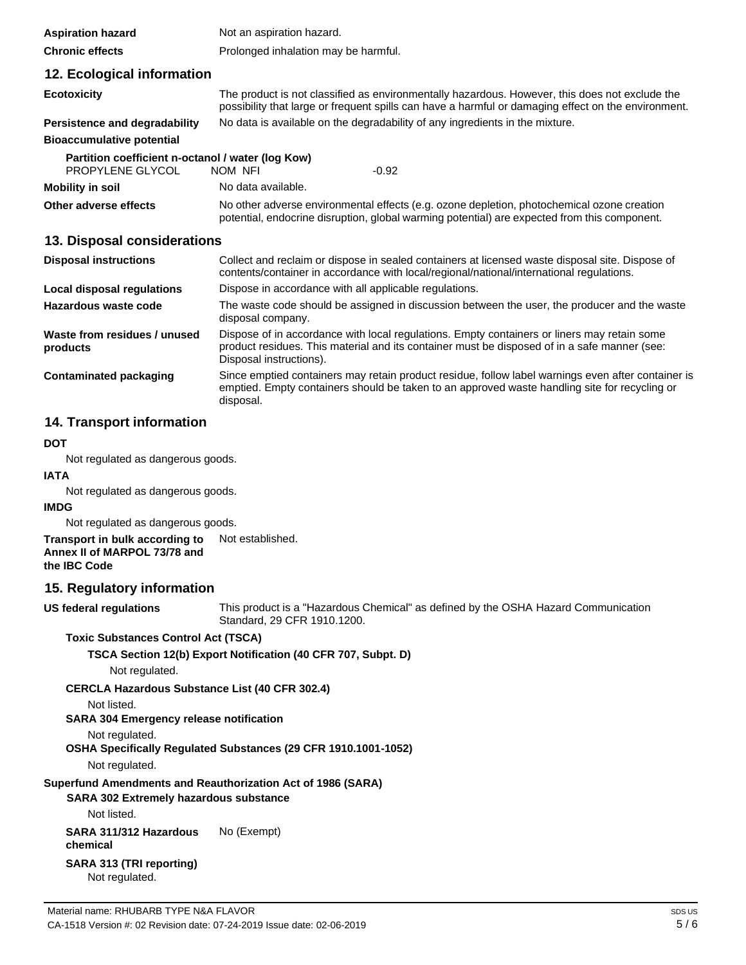| <b>Aspiration hazard</b>                          | Not an aspiration hazard.                                                                                                                                                                             |  |
|---------------------------------------------------|-------------------------------------------------------------------------------------------------------------------------------------------------------------------------------------------------------|--|
| <b>Chronic effects</b>                            | Prolonged inhalation may be harmful.                                                                                                                                                                  |  |
| 12. Ecological information                        |                                                                                                                                                                                                       |  |
| <b>Ecotoxicity</b>                                | The product is not classified as environmentally hazardous. However, this does not exclude the<br>possibility that large or frequent spills can have a harmful or damaging effect on the environment. |  |
| Persistence and degradability                     | No data is available on the degradability of any ingredients in the mixture.                                                                                                                          |  |
| <b>Bioaccumulative potential</b>                  |                                                                                                                                                                                                       |  |
| Partition coefficient n-octanol / water (log Kow) |                                                                                                                                                                                                       |  |
| PROPYLENE GLYCOL                                  | $-0.92$<br>NOM NFI                                                                                                                                                                                    |  |
| Mobility in soil                                  | No data available.                                                                                                                                                                                    |  |
| Other adverse effects                             | No other adverse environmental effects (e.g. ozone depletion, photochemical ozone creation<br>potential, endocrine disruption, global warming potential) are expected from this component.            |  |

## **13. Disposal considerations**

| <b>Disposal instructions</b>             | Collect and reclaim or dispose in sealed containers at licensed waste disposal site. Dispose of<br>contents/container in accordance with local/regional/national/international regulations.                            |
|------------------------------------------|------------------------------------------------------------------------------------------------------------------------------------------------------------------------------------------------------------------------|
| Local disposal regulations               | Dispose in accordance with all applicable regulations.                                                                                                                                                                 |
| Hazardous waste code                     | The waste code should be assigned in discussion between the user, the producer and the waste<br>disposal company.                                                                                                      |
| Waste from residues / unused<br>products | Dispose of in accordance with local regulations. Empty containers or liners may retain some<br>product residues. This material and its container must be disposed of in a safe manner (see:<br>Disposal instructions). |
| Contaminated packaging                   | Since emptied containers may retain product residue, follow label warnings even after container is<br>emptied. Empty containers should be taken to an approved waste handling site for recycling or<br>disposal.       |

# **14. Transport information**

### **DOT**

Not regulated as dangerous goods.

**IATA**

Not regulated as dangerous goods.

### **IMDG**

Not regulated as dangerous goods.

**Transport in bulk according to Annex II of MARPOL 73/78 and the IBC Code** Not established.

# **15. Regulatory information**

**US federal regulations**

This product is a "Hazardous Chemical" as defined by the OSHA Hazard Communication Standard, 29 CFR 1910.1200.

**Toxic Substances Control Act (TSCA)**

**TSCA Section 12(b) Export Notification (40 CFR 707, Subpt. D)**

Not regulated.

**CERCLA Hazardous Substance List (40 CFR 302.4)**

Not listed.

**SARA 304 Emergency release notification**

Not regulated.

**OSHA Specifically Regulated Substances (29 CFR 1910.1001-1052)**

Not regulated.

**Superfund Amendments and Reauthorization Act of 1986 (SARA)** 

**SARA 302 Extremely hazardous substance**

Not listed.

**SARA 311/312 Hazardous chemical** No (Exempt)

**SARA 313 (TRI reporting)** Not regulated.